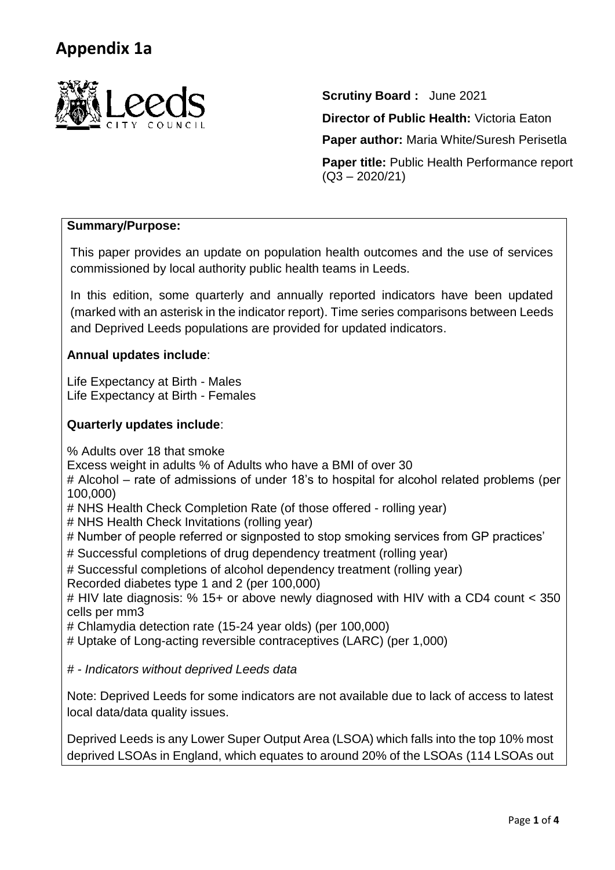

**Scrutiny Board :** June 2021

**Director of Public Health: Victoria Eaton** 

**Paper author:** Maria White/Suresh Perisetla

**Paper title:** Public Health Performance report  $(Q3 - 2020/21)$ 

# **Summary/Purpose:**

This paper provides an update on population health outcomes and the use of services commissioned by local authority public health teams in Leeds.

In this edition, some quarterly and annually reported indicators have been updated (marked with an asterisk in the indicator report). Time series comparisons between Leeds and Deprived Leeds populations are provided for updated indicators.

## **Annual updates include**:

Life Expectancy at Birth - Males Life Expectancy at Birth - Females

## **Quarterly updates include**:

% Adults over 18 that smoke

Excess weight in adults % of Adults who have a BMI of over 30

# Alcohol – rate of admissions of under 18's to hospital for alcohol related problems (per 100,000)

- # NHS Health Check Completion Rate (of those offered rolling year)
- # NHS Health Check Invitations (rolling year)

# Number of people referred or signposted to stop smoking services from GP practices'

- # Successful completions of drug dependency treatment (rolling year)
- # Successful completions of alcohol dependency treatment (rolling year)

Recorded diabetes type 1 and 2 (per 100,000)

# HIV late diagnosis: % 15+ or above newly diagnosed with HIV with a CD4 count < 350 cells per mm3

# Chlamydia detection rate (15-24 year olds) (per 100,000)

# Uptake of Long-acting reversible contraceptives (LARC) (per 1,000)

*# - Indicators without deprived Leeds data*

Note: Deprived Leeds for some indicators are not available due to lack of access to latest local data/data quality issues.

Deprived Leeds is any Lower Super Output Area (LSOA) which falls into the top 10% most deprived LSOAs in England, which equates to around 20% of the LSOAs (114 LSOAs out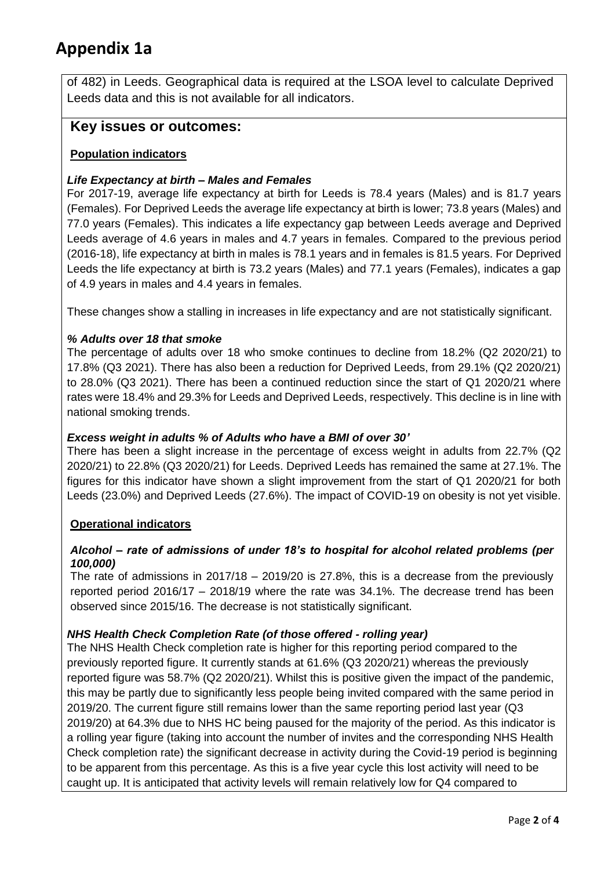of 482) in Leeds. Geographical data is required at the LSOA level to calculate Deprived Leeds data and this is not available for all indicators.

# **Key issues or outcomes:**

## **Population indicators**

## *Life Expectancy at birth – Males and Females*

For 2017-19, average life expectancy at birth for Leeds is 78.4 years (Males) and is 81.7 years (Females). For Deprived Leeds the average life expectancy at birth is lower; 73.8 years (Males) and 77.0 years (Females). This indicates a life expectancy gap between Leeds average and Deprived Leeds average of 4.6 years in males and 4.7 years in females. Compared to the previous period (2016-18), life expectancy at birth in males is 78.1 years and in females is 81.5 years. For Deprived Leeds the life expectancy at birth is 73.2 years (Males) and 77.1 years (Females), indicates a gap of 4.9 years in males and 4.4 years in females.

These changes show a stalling in increases in life expectancy and are not statistically significant.

## *% Adults over 18 that smoke*

The percentage of adults over 18 who smoke continues to decline from 18.2% (Q2 2020/21) to 17.8% (Q3 2021). There has also been a reduction for Deprived Leeds, from 29.1% (Q2 2020/21) to 28.0% (Q3 2021). There has been a continued reduction since the start of Q1 2020/21 where rates were 18.4% and 29.3% for Leeds and Deprived Leeds, respectively. This decline is in line with national smoking trends.

#### *Excess weight in adults % of Adults who have a BMI of over 30'*

There has been a slight increase in the percentage of excess weight in adults from 22.7% (Q2 2020/21) to 22.8% (Q3 2020/21) for Leeds. Deprived Leeds has remained the same at 27.1%. The figures for this indicator have shown a slight improvement from the start of Q1 2020/21 for both Leeds (23.0%) and Deprived Leeds (27.6%). The impact of COVID-19 on obesity is not yet visible.

#### **Operational indicators**

## *Alcohol – rate of admissions of under 18's to hospital for alcohol related problems (per 100,000)*

The rate of admissions in 2017/18 – 2019/20 is 27.8%, this is a decrease from the previously reported period 2016/17 – 2018/19 where the rate was 34.1%. The decrease trend has been observed since 2015/16. The decrease is not statistically significant.

#### *NHS Health Check Completion Rate (of those offered - rolling year)*

The NHS Health Check completion rate is higher for this reporting period compared to the previously reported figure. It currently stands at 61.6% (Q3 2020/21) whereas the previously reported figure was 58.7% (Q2 2020/21). Whilst this is positive given the impact of the pandemic, this may be partly due to significantly less people being invited compared with the same period in 2019/20. The current figure still remains lower than the same reporting period last year (Q3 2019/20) at 64.3% due to NHS HC being paused for the majority of the period. As this indicator is a rolling year figure (taking into account the number of invites and the corresponding NHS Health Check completion rate) the significant decrease in activity during the Covid-19 period is beginning to be apparent from this percentage. As this is a five year cycle this lost activity will need to be caught up. It is anticipated that activity levels will remain relatively low for Q4 compared to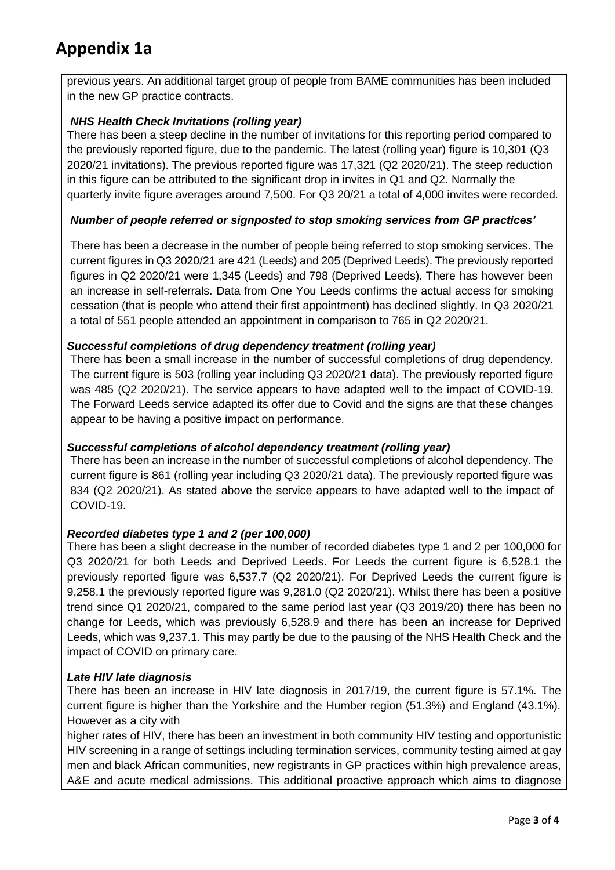previous years. An additional target group of people from BAME communities has been included in the new GP practice contracts.

## *NHS Health Check Invitations (rolling year)*

There has been a steep decline in the number of invitations for this reporting period compared to the previously reported figure, due to the pandemic. The latest (rolling year) figure is 10,301 (Q3 2020/21 invitations). The previous reported figure was 17,321 (Q2 2020/21). The steep reduction in this figure can be attributed to the significant drop in invites in Q1 and Q2. Normally the quarterly invite figure averages around 7,500. For Q3 20/21 a total of 4,000 invites were recorded.

## *Number of people referred or signposted to stop smoking services from GP practices'*

There has been a decrease in the number of people being referred to stop smoking services. The current figures in Q3 2020/21 are 421 (Leeds) and 205 (Deprived Leeds). The previously reported figures in Q2 2020/21 were 1,345 (Leeds) and 798 (Deprived Leeds). There has however been an increase in self-referrals. Data from One You Leeds confirms the actual access for smoking cessation (that is people who attend their first appointment) has declined slightly. In Q3 2020/21 a total of 551 people attended an appointment in comparison to 765 in Q2 2020/21.

## *Successful completions of drug dependency treatment (rolling year)*

There has been a small increase in the number of successful completions of drug dependency. The current figure is 503 (rolling year including Q3 2020/21 data). The previously reported figure was 485 (Q2 2020/21). The service appears to have adapted well to the impact of COVID-19. The Forward Leeds service adapted its offer due to Covid and the signs are that these changes appear to be having a positive impact on performance.

## *Successful completions of alcohol dependency treatment (rolling year)*

There has been an increase in the number of successful completions of alcohol dependency. The current figure is 861 (rolling year including Q3 2020/21 data). The previously reported figure was 834 (Q2 2020/21). As stated above the service appears to have adapted well to the impact of COVID-19.

#### *Recorded diabetes type 1 and 2 (per 100,000)*

There has been a slight decrease in the number of recorded diabetes type 1 and 2 per 100,000 for Q3 2020/21 for both Leeds and Deprived Leeds. For Leeds the current figure is 6,528.1 the previously reported figure was 6,537.7 (Q2 2020/21). For Deprived Leeds the current figure is 9,258.1 the previously reported figure was 9,281.0 (Q2 2020/21). Whilst there has been a positive trend since Q1 2020/21, compared to the same period last year (Q3 2019/20) there has been no change for Leeds, which was previously 6,528.9 and there has been an increase for Deprived Leeds, which was 9,237.1. This may partly be due to the pausing of the NHS Health Check and the impact of COVID on primary care.

#### *Late HIV late diagnosis*

There has been an increase in HIV late diagnosis in 2017/19, the current figure is 57.1%. The current figure is higher than the Yorkshire and the Humber region (51.3%) and England (43.1%). However as a city with

higher rates of HIV, there has been an investment in both community HIV testing and opportunistic HIV screening in a range of settings including termination services, community testing aimed at gay men and black African communities, new registrants in GP practices within high prevalence areas, A&E and acute medical admissions. This additional proactive approach which aims to diagnose